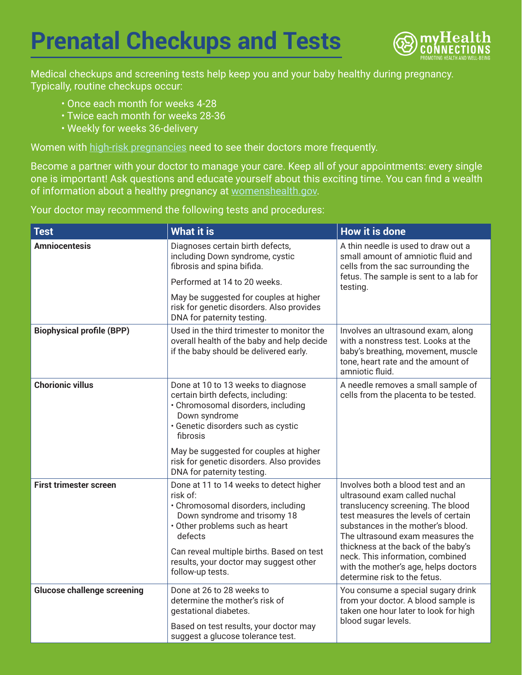## **Prenatal Checkups and Tests**



Medical checkups and screening tests help keep you and your baby healthy during pregnancy. Typically, routine checkups occur:

- Once each month for weeks 4-28
- Twice each month for weeks 28-36
- Weekly for weeks 36-delivery

Women with [high-risk pregnancies](https://www.womenshealth.gov/pregnancy/youre-pregnant-now-what/prenatal-care-and-tests#6) need to see their doctors more frequently.

Become a partner with your doctor to manage your care. Keep all of your appointments: every single one is important! Ask questions and educate yourself about this exciting time. You can find a wealth of information about a healthy pregnancy at [womenshealth.gov.](https://www.womenshealth.gov/pregnancy)

Your doctor may recommend the following tests and procedures:

| <b>Test</b>                        | <b>What it is</b>                                                                                                                                                                                                                                                                 | <b>How it is done</b>                                                                                                                                                                                                                                                                                                                                                      |
|------------------------------------|-----------------------------------------------------------------------------------------------------------------------------------------------------------------------------------------------------------------------------------------------------------------------------------|----------------------------------------------------------------------------------------------------------------------------------------------------------------------------------------------------------------------------------------------------------------------------------------------------------------------------------------------------------------------------|
| <b>Amniocentesis</b>               | Diagnoses certain birth defects,<br>including Down syndrome, cystic<br>fibrosis and spina bifida.                                                                                                                                                                                 | A thin needle is used to draw out a<br>small amount of amniotic fluid and<br>cells from the sac surrounding the<br>fetus. The sample is sent to a lab for<br>testing.                                                                                                                                                                                                      |
|                                    | Performed at 14 to 20 weeks.                                                                                                                                                                                                                                                      |                                                                                                                                                                                                                                                                                                                                                                            |
|                                    | May be suggested for couples at higher<br>risk for genetic disorders. Also provides<br>DNA for paternity testing.                                                                                                                                                                 |                                                                                                                                                                                                                                                                                                                                                                            |
| <b>Biophysical profile (BPP)</b>   | Used in the third trimester to monitor the<br>overall health of the baby and help decide<br>if the baby should be delivered early.                                                                                                                                                | Involves an ultrasound exam, along<br>with a nonstress test. Looks at the<br>baby's breathing, movement, muscle<br>tone, heart rate and the amount of<br>amniotic fluid.                                                                                                                                                                                                   |
| <b>Chorionic villus</b>            | Done at 10 to 13 weeks to diagnose<br>certain birth defects, including:<br>· Chromosomal disorders, including<br>Down syndrome<br>· Genetic disorders such as cystic<br>fibrosis                                                                                                  | A needle removes a small sample of<br>cells from the placenta to be tested.                                                                                                                                                                                                                                                                                                |
|                                    | May be suggested for couples at higher<br>risk for genetic disorders. Also provides<br>DNA for paternity testing.                                                                                                                                                                 |                                                                                                                                                                                                                                                                                                                                                                            |
| <b>First trimester screen</b>      | Done at 11 to 14 weeks to detect higher<br>risk of:<br>· Chromosomal disorders, including<br>Down syndrome and trisomy 18<br>• Other problems such as heart<br>defects<br>Can reveal multiple births. Based on test<br>results, your doctor may suggest other<br>follow-up tests. | Involves both a blood test and an<br>ultrasound exam called nuchal<br>translucency screening. The blood<br>test measures the levels of certain<br>substances in the mother's blood.<br>The ultrasound exam measures the<br>thickness at the back of the baby's<br>neck. This information, combined<br>with the mother's age, helps doctors<br>determine risk to the fetus. |
| <b>Glucose challenge screening</b> | Done at 26 to 28 weeks to<br>determine the mother's risk of<br>gestational diabetes.<br>Based on test results, your doctor may<br>suggest a glucose tolerance test.                                                                                                               | You consume a special sugary drink<br>from your doctor. A blood sample is<br>taken one hour later to look for high<br>blood sugar levels.                                                                                                                                                                                                                                  |